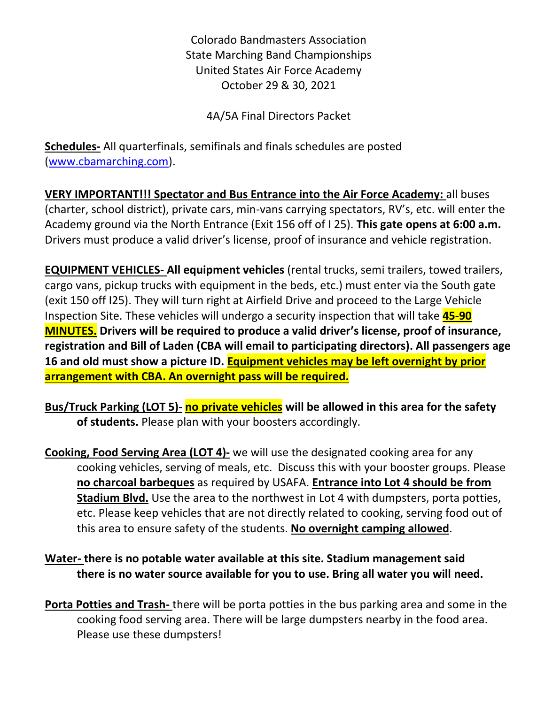Colorado Bandmasters Association State Marching Band Championships United States Air Force Academy October 29 & 30, 2021

4A/5A Final Directors Packet

**Schedules-** All quarterfinals, semifinals and finals schedules are posted [\(www.cbamarching.com\)](http://www.cbamarching.com/).

**VERY IMPORTANT!!! Spectator and Bus Entrance into the Air Force Academy:** all buses (charter, school district), private cars, min-vans carrying spectators, RV's, etc. will enter the Academy ground via the North Entrance (Exit 156 off of I 25). **This gate opens at 6:00 a.m.** Drivers must produce a valid driver's license, proof of insurance and vehicle registration.

**EQUIPMENT VEHICLES- All equipment vehicles** (rental trucks, semi trailers, towed trailers, cargo vans, pickup trucks with equipment in the beds, etc.) must enter via the South gate (exit 150 off I25). They will turn right at Airfield Drive and proceed to the Large Vehicle Inspection Site. These vehicles will undergo a security inspection that will take **45-90 MINUTES. Drivers will be required to produce a valid driver's license, proof of insurance, registration and Bill of Laden (CBA will email to participating directors). All passengers age 16 and old must show a picture ID. Equipment vehicles may be left overnight by prior arrangement with CBA. An overnight pass will be required.**

**Bus/Truck Parking (LOT 5)- no private vehicles will be allowed in this area for the safety of students.** Please plan with your boosters accordingly.

**Cooking, Food Serving Area (LOT 4)-** we will use the designated cooking area for any cooking vehicles, serving of meals, etc. Discuss this with your booster groups. Please **no charcoal barbeques** as required by USAFA. **Entrance into Lot 4 should be from Stadium Blvd.** Use the area to the northwest in Lot 4 with dumpsters, porta potties, etc. Please keep vehicles that are not directly related to cooking, serving food out of this area to ensure safety of the students. **No overnight camping allowed**.

# **Water- there is no potable water available at this site. Stadium management said there is no water source available for you to use. Bring all water you will need.**

**Porta Potties and Trash-** there will be porta potties in the bus parking area and some in the cooking food serving area. There will be large dumpsters nearby in the food area. Please use these dumpsters!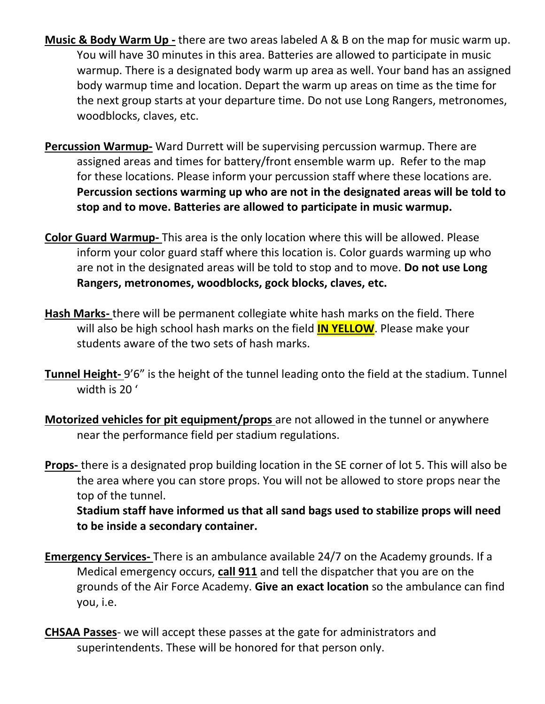- **Music & Body Warm Up -** there are two areas labeled A & B on the map for music warm up. You will have 30 minutes in this area. Batteries are allowed to participate in music warmup. There is a designated body warm up area as well. Your band has an assigned body warmup time and location. Depart the warm up areas on time as the time for the next group starts at your departure time. Do not use Long Rangers, metronomes, woodblocks, claves, etc.
- **Percussion Warmup-** Ward Durrett will be supervising percussion warmup. There are assigned areas and times for battery/front ensemble warm up. Refer to the map for these locations. Please inform your percussion staff where these locations are. **Percussion sections warming up who are not in the designated areas will be told to stop and to move. Batteries are allowed to participate in music warmup.**
- **Color Guard Warmup-** This area is the only location where this will be allowed. Please inform your color guard staff where this location is. Color guards warming up who are not in the designated areas will be told to stop and to move. **Do not use Long Rangers, metronomes, woodblocks, gock blocks, claves, etc.**
- **Hash Marks-** there will be permanent collegiate white hash marks on the field. There will also be high school hash marks on the field **IN YELLOW**. Please make your students aware of the two sets of hash marks.
- **Tunnel Height-** 9'6" is the height of the tunnel leading onto the field at the stadium. Tunnel width is 20 '
- **Motorized vehicles for pit equipment/props** are not allowed in the tunnel or anywhere near the performance field per stadium regulations.

**Props-** there is a designated prop building location in the SE corner of lot 5. This will also be the area where you can store props. You will not be allowed to store props near the top of the tunnel.

**Stadium staff have informed us that all sand bags used to stabilize props will need to be inside a secondary container.** 

- **Emergency Services-** There is an ambulance available 24/7 on the Academy grounds. If a Medical emergency occurs, **call 911** and tell the dispatcher that you are on the grounds of the Air Force Academy. **Give an exact location** so the ambulance can find you, i.e.
- **CHSAA Passes** we will accept these passes at the gate for administrators and superintendents. These will be honored for that person only.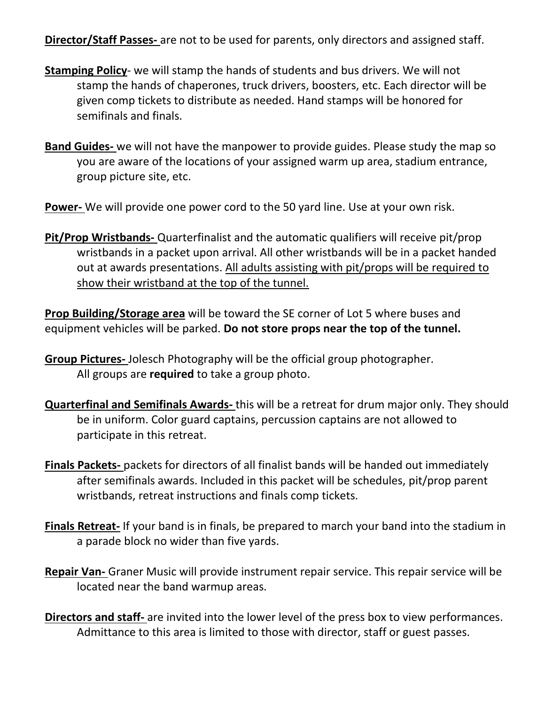**Director/Staff Passes-** are not to be used for parents, only directors and assigned staff.

- **Stamping Policy** we will stamp the hands of students and bus drivers. We will not stamp the hands of chaperones, truck drivers, boosters, etc. Each director will be given comp tickets to distribute as needed. Hand stamps will be honored for semifinals and finals.
- **Band Guides-** we will not have the manpower to provide guides. Please study the map so you are aware of the locations of your assigned warm up area, stadium entrance, group picture site, etc.
- **Power-** We will provide one power cord to the 50 yard line. Use at your own risk.
- **Pit/Prop Wristbands-** Quarterfinalist and the automatic qualifiers will receive pit/prop wristbands in a packet upon arrival. All other wristbands will be in a packet handed out at awards presentations. All adults assisting with pit/props will be required to show their wristband at the top of the tunnel.

**Prop Building/Storage area** will be toward the SE corner of Lot 5 where buses and equipment vehicles will be parked. **Do not store props near the top of the tunnel.**

- **Group Pictures-** Jolesch Photography will be the official group photographer. All groups are **required** to take a group photo.
- **Quarterfinal and Semifinals Awards-** this will be a retreat for drum major only. They should be in uniform. Color guard captains, percussion captains are not allowed to participate in this retreat.
- **Finals Packets-** packets for directors of all finalist bands will be handed out immediately after semifinals awards. Included in this packet will be schedules, pit/prop parent wristbands, retreat instructions and finals comp tickets.
- **Finals Retreat-** If your band is in finals, be prepared to march your band into the stadium in a parade block no wider than five yards.
- **Repair Van-** Graner Music will provide instrument repair service. This repair service will be located near the band warmup areas.
- **Directors and staff-** are invited into the lower level of the press box to view performances. Admittance to this area is limited to those with director, staff or guest passes.